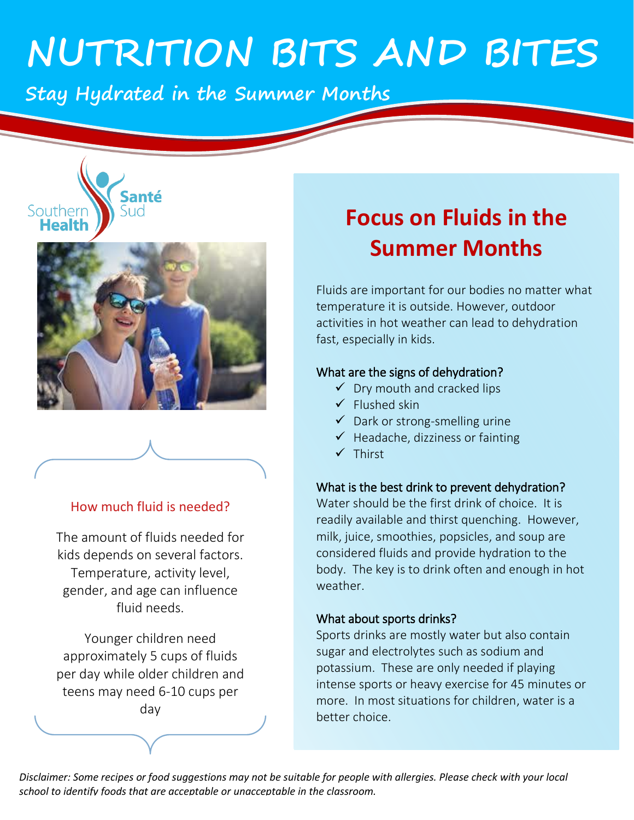# **NUTRITION BITS AND BITES**

**Stay Hydrated in the Summer Months** 



#### How much fluid is needed?

The amount of fluids needed for kids depends on several factors. Temperature, activity level, gender, and age can influence fluid needs.

Younger children need approximately 5 cups of fluids per day while older children and teens may need 6-10 cups per day

# **Focus on Fluids in the Summer Months**

Fluids are important for our bodies no matter what temperature it is outside. However, outdoor activities in hot weather can lead to dehydration fast, especially in kids.

#### What are the signs of dehydration?

- ✓ Dry mouth and cracked lips
- ✓ Flushed skin
- $\checkmark$  Dark or strong-smelling urine
- $\checkmark$  Headache, dizziness or fainting
- ✓ Thirst

#### What is the best drink to prevent dehydration?

Water should be the first drink of choice. It is readily available and thirst quenching. However, milk, juice, smoothies, popsicles, and soup are considered fluids and provide hydration to the body. The key is to drink often and enough in hot weather.

#### What about sports drinks?

Sports drinks are mostly water but also contain sugar and electrolytes such as sodium and potassium. These are only needed if playing intense sports or heavy exercise for 45 minutes or more. In most situations for children, water is a better choice.

*Disclaimer: Some recipes or food suggestions may not be suitable for people with allergies. Please check with your local school to identify foods that are acceptable or unacceptable in the classroom.*